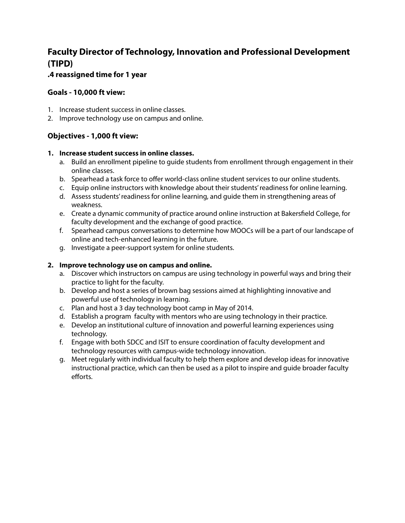# **Faculty Director of Technology, Innovation and Professional Development (TIPD)**

# **.4 reassigned time for 1 year**

### **Goals - 10,000 ft view:**

- 1. Increase student success in online classes.
- 2. Improve technology use on campus and online.

## **Objectives - 1,000 ft view:**

#### **1. Increase student success in online classes.**

- a. Build an enrollment pipeline to guide students from enrollment through engagement in their online classes.
- b. Spearhead a task force to offer world-class online student services to our online students.
- c. Equip online instructors with knowledge about their students' readiness for online learning.
- d. Assess students' readiness for online learning, and guide them in strengthening areas of weakness.
- e. Create a dynamic community of practice around online instruction at Bakersfield College, for faculty development and the exchange of good practice.
- f. Spearhead campus conversations to determine how MOOCs will be a part of our landscape of online and tech-enhanced learning in the future.
- g. Investigate a peer-support system for online students.

#### **2. Improve technology use on campus and online.**

- a. Discover which instructors on campus are using technology in powerful ways and bring their practice to light for the faculty.
- b. Develop and host a series of brown bag sessions aimed at highlighting innovative and powerful use of technology in learning.
- c. Plan and host a 3 day technology boot camp in May of 2014.
- d. Establish a program faculty with mentors who are using technology in their practice.
- e. Develop an institutional culture of innovation and powerful learning experiences using technology.
- f. Engage with both SDCC and ISIT to ensure coordination of faculty development and technology resources with campus-wide technology innovation.
- g. Meet regularly with individual faculty to help them explore and develop ideas for innovative instructional practice, which can then be used as a pilot to inspire and guide broader faculty efforts.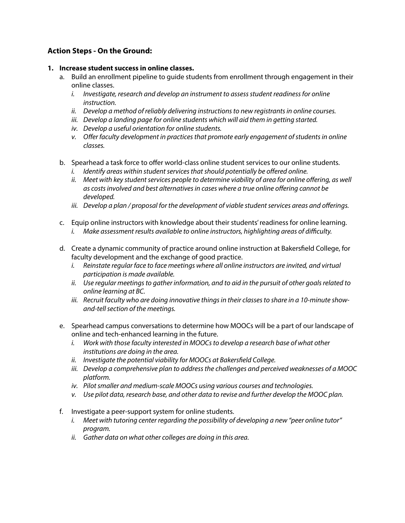# **Action Steps - On the Ground:**

#### **1. Increase student success in online classes.**

- a. Build an enrollment pipeline to guide students from enrollment through engagement in their online classes.
	- *i. Investigate, research and develop an instrument to assess student readiness for online instruction.*
	- *ii. Develop a method of reliably delivering instructions to new registrants in online courses.*
	- *iii. Develop a landing page for online students which will aid them in getting started.*
	- *iv. Develop a useful orientation for online students.*
	- *v. O*ff*er faculty development in practices that promote early engagement of students in online classes.*
- b. Spearhead a task force to offer world-class online student services to our online students.
	- *i. Identify areas within student services that should potentially be o*ff*ered online.*
	- *ii. Meet with key student services people to determine viability of area for online o*ff*ering, as well as costs involved and best alternatives in cases where a true online o*ff*ering cannot be developed.*
	- *iii. Develop a plan / proposal for the development of viable student services areas and o*ff*erings.*
- c. Equip online instructors with knowledge about their students' readiness for online learning.
	- *i. Make assessment results available to online instructors, highlighting areas of di*ffi*culty.*
- d. Create a dynamic community of practice around online instruction at Bakersfield College, for faculty development and the exchange of good practice.
	- *i. Reinstate regular face to face meetings where all online instructors are invited, and virtual participation is made available.*
	- *ii. Use regular meetings to gather information, and to aid in the pursuit of other goals related to online learning at BC.*
	- *iii. Recruit faculty who are doing innovative things in their classes to share in a 10-minute showand-tell section of the meetings.*
- e. Spearhead campus conversations to determine how MOOCs will be a part of our landscape of online and tech-enhanced learning in the future.
	- *i. Work with those faculty interested in MOOCs to develop a research base of what other institutions are doing in the area.*
	- $ii.$  *Investigate the potential viability for MOOCs at Bakersfield College.*
	- *iii. Develop a comprehensive plan to address the challenges and perceived weaknesses of a MOOC platform.*
	- *iv. Pilot smaller and medium-scale MOOCs using various courses and technologies.*
	- *v. Use pilot data, research base, and other data to revise and further develop the MOOC plan.*
- f. Investigate a peer-support system for online students.
	- *i. Meet with tutoring center regarding the possibility of developing a new "peer online tutor" program.*
	- *ii. Gather data on what other colleges are doing in this area.*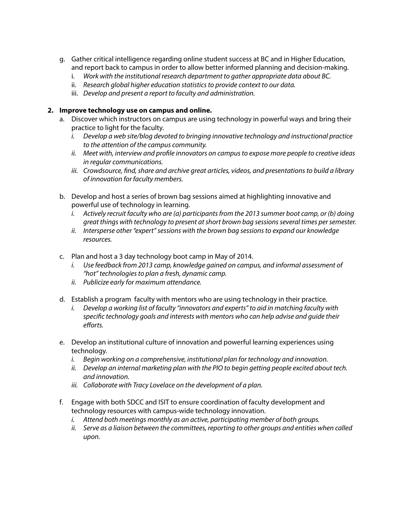- g. Gather critical intelligence regarding online student success at BC and in Higher Education, and report back to campus in order to allow better informed planning and decision-making.
	- i. *Work with the institutional research department to gather appropriate data about BC.*
	- ii. *Research global higher education statistics to provide context to our data.*
	- iii. *Develop and present a report to faculty and administration.*

#### **2. Improve technology use on campus and online.**

- a. Discover which instructors on campus are using technology in powerful ways and bring their practice to light for the faculty.
	- *i. Develop a web site/blog devoted to bringing innovative technology and instructional practice to the attention of the campus community.*
	- ii. Meet with, interview and profile innovators on campus to expose more people to creative ideas *in regular communications.*
	- iii. Crowdsource, find, share and archive great articles, videos, and presentations to build a library *of innovation for faculty members.*
- b. Develop and host a series of brown bag sessions aimed at highlighting innovative and powerful use of technology in learning.
	- *i.* Actively recruit faculty who are (a) participants from the 2013 summer boot camp, or (b) doing *great things with technology to present at short brown bag sessions several times per semester.*
	- *ii. Intersperse other "expert" sessions with the brown bag sessions to expand our knowledge resources.*
- c. Plan and host a 3 day technology boot camp in May of 2014.
	- *i. Use feedback from 2013 camp, knowledge gained on campus, and informal assessment of "hot" technologies to plan a fresh, dynamic camp.*
	- *ii. Publicize early for maximum attendance.*
- d. Establish a program faculty with mentors who are using technology in their practice.
	- *i. Develop a working list of faculty "innovators and experts" to aid in matching faculty with speci*#*c technology goals and interests with mentors who can help advise and guide their e*ff*orts.*
- e. Develop an institutional culture of innovation and powerful learning experiences using technology.
	- *i. Begin working on a comprehensive, institutional plan for technology and innovation.*
	- *ii. Develop an internal marketing plan with the PIO to begin getting people excited about tech. and innovation.*
	- *iii. Collaborate with Tracy Lovelace on the development of a plan.*
- f. Engage with both SDCC and ISIT to ensure coordination of faculty development and technology resources with campus-wide technology innovation.
	- *i. Attend both meetings monthly as an active, participating member of both groups.*
	- *ii. Serve as a liaison between the committees, reporting to other groups and entities when called upon.*